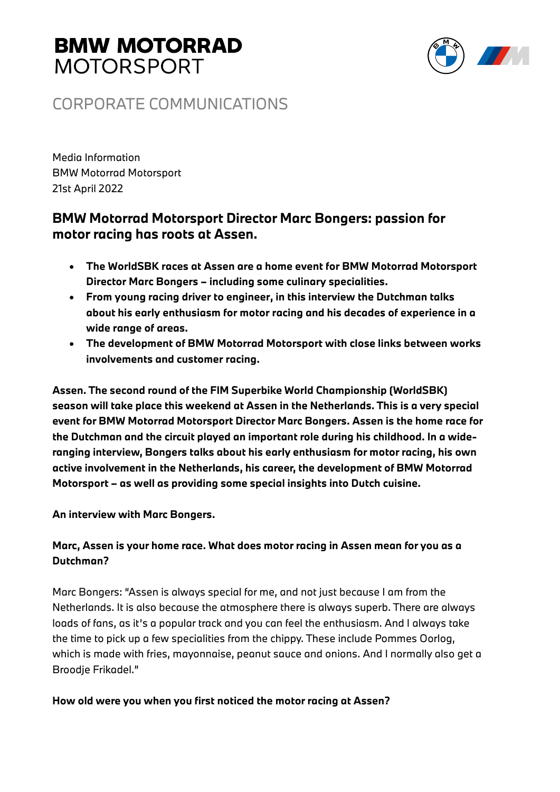

### CORPORATE COMMUNICATIONS

Media Information BMW Motorrad Motorsport 21st April 2022

### **BMW Motorrad Motorsport Director Marc Bongers: passion for motor racing has roots at Assen.**

- **The WorldSBK races at Assen are a home event for BMW Motorrad Motorsport Director Marc Bongers – including some culinary specialities.**
- **From young racing driver to engineer, in this interview the Dutchman talks about his early enthusiasm for motor racing and his decades of experience in a wide range of areas.**
- **The development of BMW Motorrad Motorsport with close links between works involvements and customer racing.**

**Assen. The second round of the FIM Superbike World Championship (WorldSBK) season will take place this weekend at Assen in the Netherlands. This is a very special event for BMW Motorrad Motorsport Director Marc Bongers. Assen is the home race for the Dutchman and the circuit played an important role during his childhood. In a wideranging interview, Bongers talks about his early enthusiasm for motor racing, his own active involvement in the Netherlands, his career, the development of BMW Motorrad Motorsport – as well as providing some special insights into Dutch cuisine.**

**An interview with Marc Bongers.**

#### **Marc, Assen is your home race. What does motor racing in Assen mean for you as a Dutchman?**

Marc Bongers: "Assen is always special for me, and not just because I am from the Netherlands. It is also because the atmosphere there is always superb. There are always loads of fans, as it's a popular track and you can feel the enthusiasm. And I always take the time to pick up a few specialities from the chippy. These include Pommes Oorlog, which is made with fries, mayonnaise, peanut sauce and onions. And I normally also get a Broodje Frikadel."

#### **How old were you when you first noticed the motor racing at Assen?**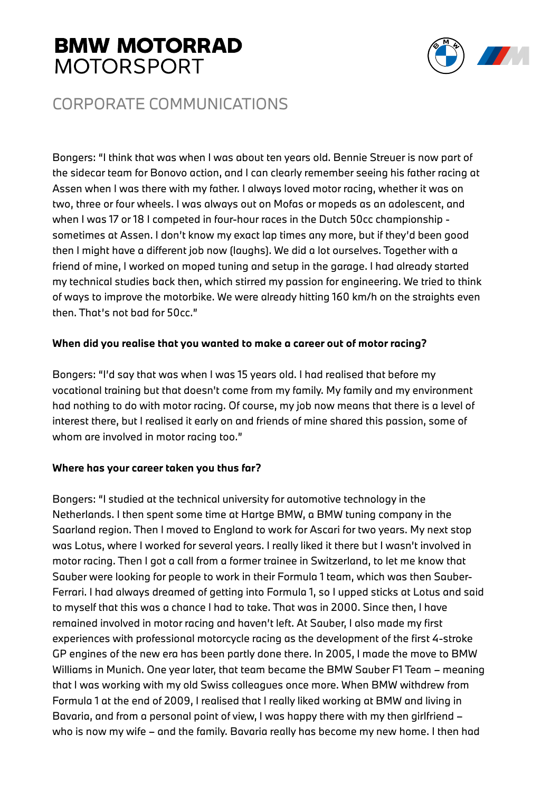

### CORPORATE COMMUNICATIONS

Bongers: "I think that was when I was about ten years old. Bennie Streuer is now part of the sidecar team for Bonovo action, and I can clearly remember seeing his father racing at Assen when I was there with my father. I always loved motor racing, whether it was on two, three or four wheels. I was always out on Mofas or mopeds as an adolescent, and when I was 17 or 18 I competed in four-hour races in the Dutch 50cc championship sometimes at Assen. I don't know my exact lap times any more, but if they'd been good then I might have a different job now (laughs). We did a lot ourselves. Together with a friend of mine, I worked on moped tuning and setup in the garage. I had already started my technical studies back then, which stirred my passion for engineering. We tried to think of ways to improve the motorbike. We were already hitting 160 km/h on the straights even then. That's not bad for 50cc."

#### **When did you realise that you wanted to make a career out of motor racing?**

Bongers: "I'd say that was when I was 15 years old. I had realised that before my vocational training but that doesn't come from my family. My family and my environment had nothing to do with motor racing. Of course, my job now means that there is a level of interest there, but I realised it early on and friends of mine shared this passion, some of whom are involved in motor racing too."

#### **Where has your career taken you thus far?**

Bongers: "I studied at the technical university for automotive technology in the Netherlands. I then spent some time at Hartge BMW, a BMW tuning company in the Saarland region. Then I moved to England to work for Ascari for two years. My next stop was Lotus, where I worked for several years. I really liked it there but I wasn't involved in motor racing. Then I got a call from a former trainee in Switzerland, to let me know that Sauber were looking for people to work in their Formula 1 team, which was then Sauber-Ferrari. I had always dreamed of getting into Formula 1, so I upped sticks at Lotus and said to myself that this was a chance I had to take. That was in 2000. Since then, I have remained involved in motor racing and haven't left. At Sauber, I also made my first experiences with professional motorcycle racing as the development of the first 4-stroke GP engines of the new era has been partly done there. In 2005, I made the move to BMW Williams in Munich. One year later, that team became the BMW Sauber F1 Team – meaning that I was working with my old Swiss colleagues once more. When BMW withdrew from Formula 1 at the end of 2009, I realised that I really liked working at BMW and living in Bavaria, and from a personal point of view, I was happy there with my then girlfriend – who is now my wife – and the family. Bavaria really has become my new home. I then had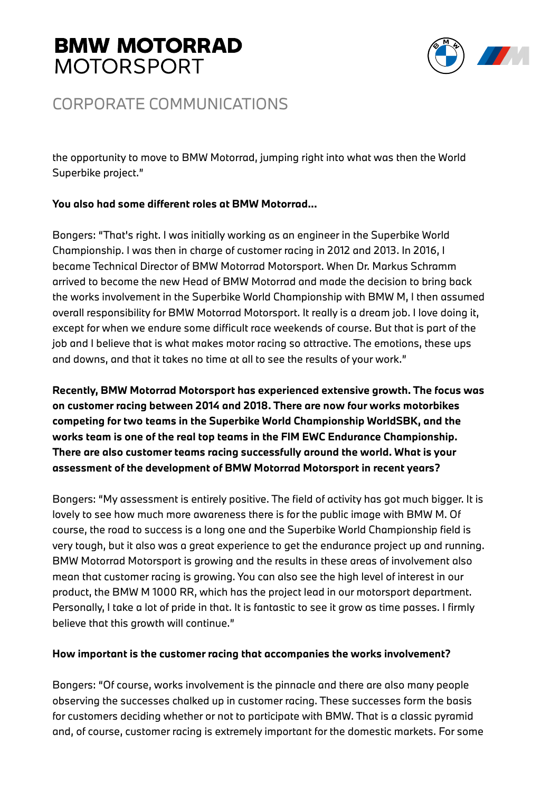

### CORPORATE COMMUNICATIONS

the opportunity to move to BMW Motorrad, jumping right into what was then the World Superbike project."

#### **You also had some different roles at BMW Motorrad...**

Bongers: "That's right. I was initially working as an engineer in the Superbike World Championship. I was then in charge of customer racing in 2012 and 2013. In 2016, I became Technical Director of BMW Motorrad Motorsport. When Dr. Markus Schramm arrived to become the new Head of BMW Motorrad and made the decision to bring back the works involvement in the Superbike World Championship with BMW M, I then assumed overall responsibility for BMW Motorrad Motorsport. It really is a dream job. I love doing it, except for when we endure some difficult race weekends of course. But that is part of the job and I believe that is what makes motor racing so attractive. The emotions, these ups and downs, and that it takes no time at all to see the results of your work."

**Recently, BMW Motorrad Motorsport has experienced extensive growth. The focus was on customer racing between 2014 and 2018. There are now four works motorbikes competing for two teams in the Superbike World Championship WorldSBK, and the works team is one of the real top teams in the FIM EWC Endurance Championship. There are also customer teams racing successfully around the world. What is your assessment of the development of BMW Motorrad Motorsport in recent years?**

Bongers: "My assessment is entirely positive. The field of activity has got much bigger. It is lovely to see how much more awareness there is for the public image with BMW M. Of course, the road to success is a long one and the Superbike World Championship field is very tough, but it also was a great experience to get the endurance project up and running. BMW Motorrad Motorsport is growing and the results in these areas of involvement also mean that customer racing is growing. You can also see the high level of interest in our product, the BMW M 1000 RR, which has the project lead in our motorsport department. Personally, I take a lot of pride in that. It is fantastic to see it grow as time passes. I firmly believe that this growth will continue."

#### **How important is the customer racing that accompanies the works involvement?**

Bongers: "Of course, works involvement is the pinnacle and there are also many people observing the successes chalked up in customer racing. These successes form the basis for customers deciding whether or not to participate with BMW. That is a classic pyramid and, of course, customer racing is extremely important for the domestic markets. For some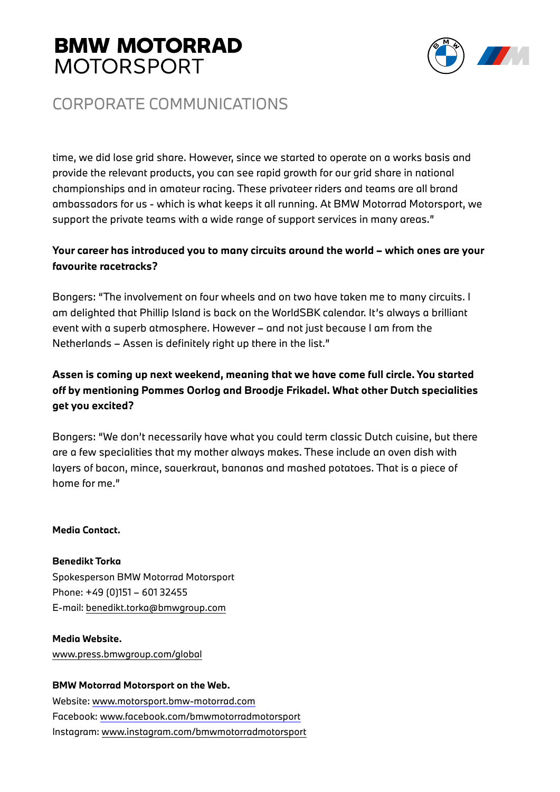

## CORPORATE COMMUNICATIONS

time, we did lose grid share. However, since we started to operate on a works basis and provide the relevant products, you can see rapid growth for our grid share in national championships and in amateur racing. These privateer riders and teams are all brand ambassadors for us - which is what keeps it all running. At BMW Motorrad Motorsport, we support the private teams with a wide range of support services in many areas."

#### **Your career has introduced you to many circuits around the world – which ones are your favourite racetracks?**

Bongers: "The involvement on four wheels and on two have taken me to many circuits. I am delighted that Phillip Island is back on the WorldSBK calendar. It's always a brilliant event with a superb atmosphere. However – and not just because I am from the Netherlands – Assen is definitely right up there in the list."

#### **Assen is coming up next weekend, meaning that we have come full circle. You started off by mentioning Pommes Oorlog and Broodje Frikadel. What other Dutch specialities get you excited?**

Bongers: "We don't necessarily have what you could term classic Dutch cuisine, but there are a few specialities that my mother always makes. These include an oven dish with layers of bacon, mince, sauerkraut, bananas and mashed potatoes. That is a piece of home for me."

#### **Media Contact.**

**Benedikt Torka** 

Spokesperson BMW Motorrad Motorsport Phone: +49 (0)151 – 601 32455 E-mail: benedikt.torka@bmwgroup.com

#### **Media Website.**

www.press.bmwgroup.com/global

#### **BMW Motorrad Motorsport on the Web.**

Website: www.motorsport.bmw-motorrad.com Facebook: www.facebook.com/bmwmotorradmotorsport Instagram: www.instagram.com/bmwmotorradmotorsport